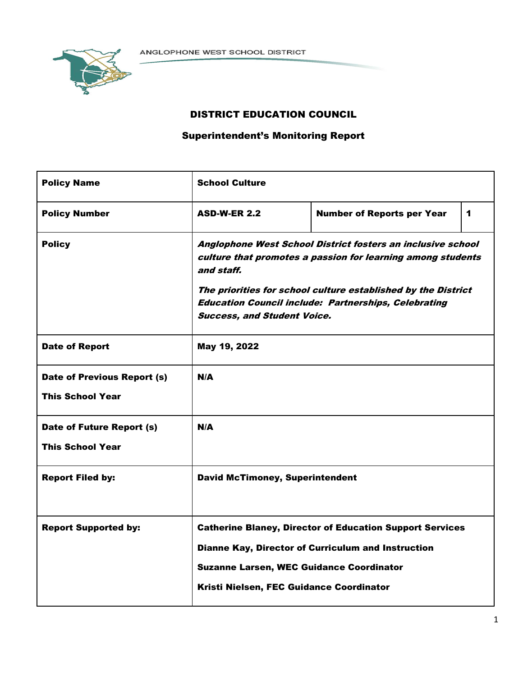

# DISTRICT EDUCATION COUNCIL

# Superintendent's Monitoring Report

| <b>Policy Name</b>          | <b>School Culture</b>                                                                                                                                                                                                                                                                                          |                                                                 |   |  |  |  |
|-----------------------------|----------------------------------------------------------------------------------------------------------------------------------------------------------------------------------------------------------------------------------------------------------------------------------------------------------------|-----------------------------------------------------------------|---|--|--|--|
| <b>Policy Number</b>        | <b>ASD-W-ER 2.2</b>                                                                                                                                                                                                                                                                                            | <b>Number of Reports per Year</b>                               | 1 |  |  |  |
| <b>Policy</b>               | Anglophone West School District fosters an inclusive school<br>culture that promotes a passion for learning among students<br>and staff.<br>The priorities for school culture established by the District<br><b>Education Council include: Partnerships, Celebrating</b><br><b>Success, and Student Voice.</b> |                                                                 |   |  |  |  |
| <b>Date of Report</b>       | May 19, 2022                                                                                                                                                                                                                                                                                                   |                                                                 |   |  |  |  |
| Date of Previous Report (s) | N/A                                                                                                                                                                                                                                                                                                            |                                                                 |   |  |  |  |
| <b>This School Year</b>     |                                                                                                                                                                                                                                                                                                                |                                                                 |   |  |  |  |
| Date of Future Report (s)   | $N/\Delta$                                                                                                                                                                                                                                                                                                     |                                                                 |   |  |  |  |
| <b>This School Year</b>     |                                                                                                                                                                                                                                                                                                                |                                                                 |   |  |  |  |
| <b>Report Filed by:</b>     | <b>David McTimoney, Superintendent</b>                                                                                                                                                                                                                                                                         |                                                                 |   |  |  |  |
| <b>Report Supported by:</b> |                                                                                                                                                                                                                                                                                                                | <b>Catherine Blaney, Director of Education Support Services</b> |   |  |  |  |
|                             |                                                                                                                                                                                                                                                                                                                | Dianne Kay, Director of Curriculum and Instruction              |   |  |  |  |
|                             | <b>Suzanne Larsen, WEC Guidance Coordinator</b>                                                                                                                                                                                                                                                                |                                                                 |   |  |  |  |
|                             | Kristi Nielsen, FEC Guidance Coordinator                                                                                                                                                                                                                                                                       |                                                                 |   |  |  |  |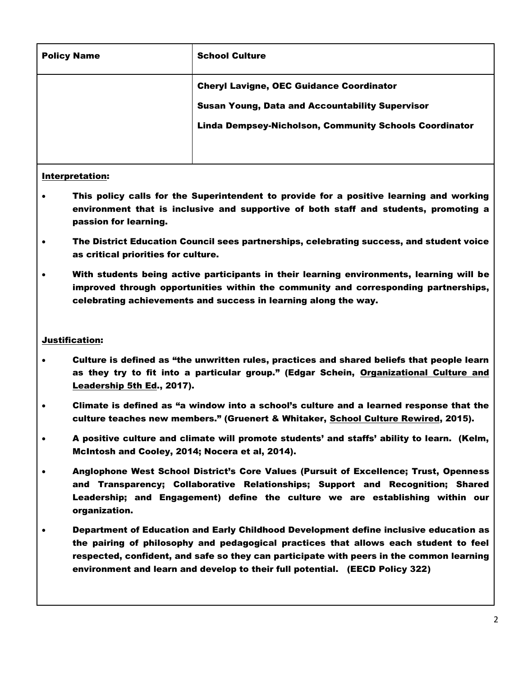| <b>Policy Name</b> | <b>School Culture</b>                                         |
|--------------------|---------------------------------------------------------------|
|                    | <b>Cheryl Lavigne, OEC Guidance Coordinator</b>               |
|                    | <b>Susan Young, Data and Accountability Supervisor</b>        |
|                    | <b>Linda Dempsey-Nicholson, Community Schools Coordinator</b> |
|                    |                                                               |

## Interpretation:

- This policy calls for the Superintendent to provide for a positive learning and working environment that is inclusive and supportive of both staff and students, promoting a passion for learning.
- The District Education Council sees partnerships, celebrating success, and student voice as critical priorities for culture.
- With students being active participants in their learning environments, learning will be improved through opportunities within the community and corresponding partnerships, celebrating achievements and success in learning along the way.

## Justification:

- Culture is defined as "the unwritten rules, practices and shared beliefs that people learn as they try to fit into a particular group." (Edgar Schein, Organizational Culture and Leadership 5th Ed., 2017).
- Climate is defined as "a window into a school's culture and a learned response that the culture teaches new members." (Gruenert & Whitaker, School Culture Rewired, 2015).
- A positive culture and climate will promote students' and staffs' ability to learn. (Kelm, McIntosh and Cooley, 2014; Nocera et al, 2014).
- Anglophone West School District's Core Values (Pursuit of Excellence; Trust, Openness and Transparency; Collaborative Relationships; Support and Recognition; Shared Leadership; and Engagement) define the culture we are establishing within our organization.
- Department of Education and Early Childhood Development define inclusive education as the pairing of philosophy and pedagogical practices that allows each student to feel respected, confident, and safe so they can participate with peers in the common learning environment and learn and develop to their full potential. (EECD Policy 322)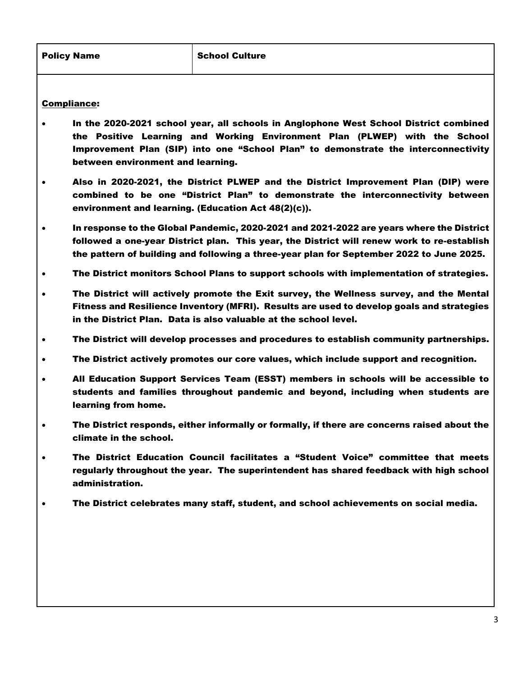## Compliance:

- In the 2020-2021 school year, all schools in Anglophone West School District combined the Positive Learning and Working Environment Plan (PLWEP) with the School Improvement Plan (SIP) into one "School Plan" to demonstrate the interconnectivity between environment and learning.
- Also in 2020-2021, the District PLWEP and the District Improvement Plan (DIP) were combined to be one "District Plan" to demonstrate the interconnectivity between environment and learning. (Education Act 48(2)(c)).
- In response to the Global Pandemic, 2020-2021 and 2021-2022 are years where the District followed a one-year District plan. This year, the District will renew work to re-establish the pattern of building and following a three-year plan for September 2022 to June 2025.
- The District monitors School Plans to support schools with implementation of strategies.
- The District will actively promote the Exit survey, the Wellness survey, and the Mental Fitness and Resilience Inventory (MFRI). Results are used to develop goals and strategies in the District Plan. Data is also valuable at the school level.
- The District will develop processes and procedures to establish community partnerships.
- The District actively promotes our core values, which include support and recognition.
- All Education Support Services Team (ESST) members in schools will be accessible to students and families throughout pandemic and beyond, including when students are learning from home.
- The District responds, either informally or formally, if there are concerns raised about the climate in the school.
- The District Education Council facilitates a "Student Voice" committee that meets regularly throughout the year. The superintendent has shared feedback with high school administration.
- The District celebrates many staff, student, and school achievements on social media.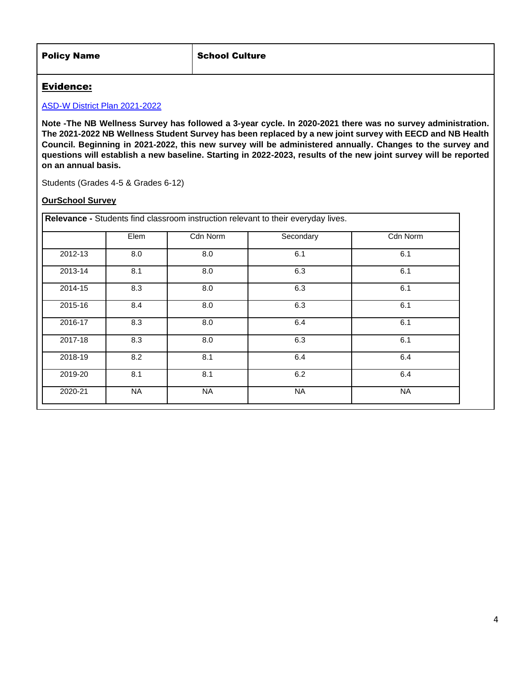| <b>Policy Name</b> | <b>School Culture</b> |
|--------------------|-----------------------|
|                    |                       |

## Evidence:

## [ASD-W District Plan 2021-2022](http://web1.nbed.nb.ca/sites/ASD-W/about/Documents/DP%202020-21%20(Oct4%20Update).pdf)

**Note -The NB Wellness Survey has followed a 3-year cycle. In 2020-2021 there was no survey administration. The 2021-2022 NB Wellness Student Survey has been replaced by a new joint survey with EECD and NB Health Council. Beginning in 2021-2022, this new survey will be administered annually. Changes to the survey and questions will establish a new baseline. Starting in 2022-2023, results of the new joint survey will be reported on an annual basis.**

Students (Grades 4-5 & Grades 6-12)

## **OurSchool Survey**

| Relevance - Students find classroom instruction relevant to their everyday lives. |           |           |           |           |  |  |  |
|-----------------------------------------------------------------------------------|-----------|-----------|-----------|-----------|--|--|--|
|                                                                                   | Elem      | Cdn Norm  | Secondary | Cdn Norm  |  |  |  |
| 2012-13                                                                           | 8.0       | 8.0       | 6.1       | 6.1       |  |  |  |
| 2013-14                                                                           | 8.1       | 8.0       | 6.3       | 6.1       |  |  |  |
| 2014-15                                                                           | 8.3       | 8.0       | 6.3       | 6.1       |  |  |  |
| 2015-16                                                                           | 8.4       | 8.0       | 6.3       | 6.1       |  |  |  |
| 2016-17                                                                           | 8.3       | 8.0       | 6.4       | 6.1       |  |  |  |
| 2017-18                                                                           | 8.3       | 8.0       | 6.3       | 6.1       |  |  |  |
| 2018-19                                                                           | 8.2       | 8.1       | 6.4       | 6.4       |  |  |  |
| 2019-20                                                                           | 8.1       | 8.1       | 6.2       | 6.4       |  |  |  |
| 2020-21                                                                           | <b>NA</b> | <b>NA</b> | <b>NA</b> | <b>NA</b> |  |  |  |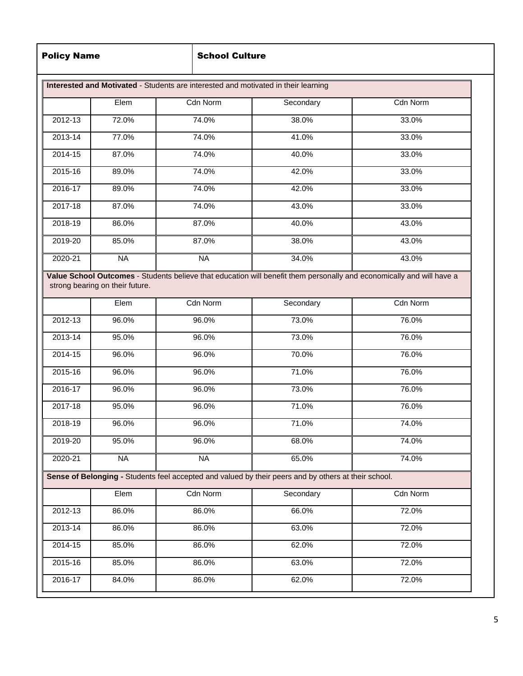## **School Culture**

|             | Elem      | Cdn Norm        | Secondary                                                                                            | Cdn Norm |
|-------------|-----------|-----------------|------------------------------------------------------------------------------------------------------|----------|
| 2012-13     | 72.0%     | 74.0%           | 38.0%                                                                                                | 33.0%    |
| 2013-14     | 77.0%     | 74.0%           | 41.0%                                                                                                | 33.0%    |
| 2014-15     | 87.0%     | 74.0%           | 40.0%                                                                                                | 33.0%    |
| 2015-16     | 89.0%     | 74.0%           | 42.0%                                                                                                | 33.0%    |
| 2016-17     | 89.0%     | 74.0%           | 42.0%                                                                                                | 33.0%    |
| 2017-18     | 87.0%     | 74.0%           | 43.0%                                                                                                | 33.0%    |
| 2018-19     | 86.0%     | 87.0%           | 40.0%                                                                                                | 43.0%    |
| 2019-20     | 85.0%     | 87.0%           | 38.0%                                                                                                | 43.0%    |
| 2020-21     | <b>NA</b> | <b>NA</b>       | 34.0%                                                                                                | 43.0%    |
| 2012-13     | 96.0%     | 96.0%           | 73.0%                                                                                                | 76.0%    |
|             |           |                 |                                                                                                      |          |
| 2013-14     | 95.0%     | 96.0%           | 73.0%                                                                                                | 76.0%    |
| 2014-15     | 96.0%     | 96.0%           | 70.0%                                                                                                | 76.0%    |
| 2015-16     | 96.0%     | 96.0%           | 71.0%                                                                                                | 76.0%    |
| 2016-17     | 96.0%     | 96.0%           | 73.0%                                                                                                | 76.0%    |
| 2017-18     | 95.0%     | 96.0%           | 71.0%                                                                                                | 76.0%    |
| 2018-19     | 96.0%     | 96.0%           | 71.0%                                                                                                | 74.0%    |
| 2019-20     | 95.0%     | 96.0%           | 68.0%                                                                                                | 74.0%    |
| 2020-21     | <b>NA</b> | <b>NA</b>       | 65.0%                                                                                                | 74.0%    |
|             |           |                 | Sense of Belonging - Students feel accepted and valued by their peers and by others at their school. |          |
|             | Elem      | <b>Cdn Norm</b> | Secondary                                                                                            | Cdn Norm |
| 2012-13     | 86.0%     | 86.0%           | 66.0%                                                                                                | 72.0%    |
| 2013-14     | 86.0%     | 86.0%           | 63.0%                                                                                                | 72.0%    |
| $2014 - 15$ | 85.0%     | 86.0%           | 62.0%                                                                                                | 72.0%    |
|             |           |                 |                                                                                                      |          |
| 2015-16     | 85.0%     | 86.0%           | 63.0%                                                                                                | 72.0%    |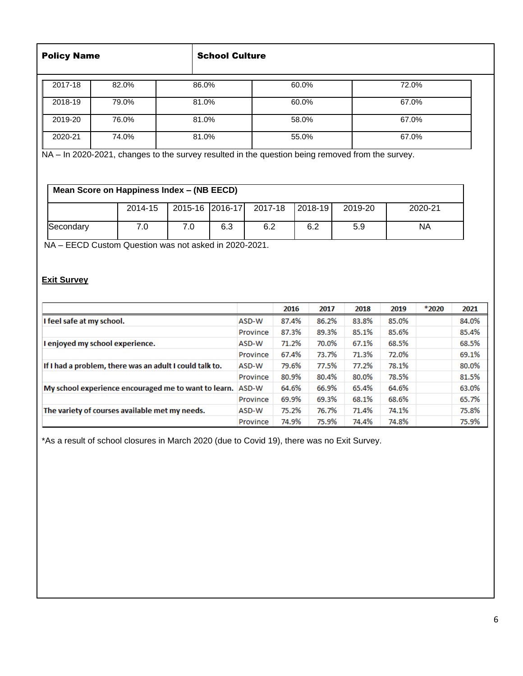| <b>Policy Name</b>        | <b>School Culture</b> |       |  |  |
|---------------------------|-----------------------|-------|--|--|
| 2017-18<br>82.0%<br>86.0% | 60.0%                 | 72.0% |  |  |
| 2018-19<br>79.0%<br>81.0% | 60.0%                 | 67.0% |  |  |
| 2019-20<br>76.0%<br>81.0% | 58.0%                 | 67.0% |  |  |
| 2020-21<br>74.0%<br>81.0% | 55.0%                 | 67.0% |  |  |

NA – In 2020-2021, changes to the survey resulted in the question being removed from the survey.

# **Mean Score on Happiness Index – (NB EECD)**

|           | 2014-15 | 2015-16 2016-17 |     | 2017-18 2018-19 |     | 2019-20 | 2020-21   |
|-----------|---------|-----------------|-----|-----------------|-----|---------|-----------|
| Secondary | .U      |                 | 6.3 | 6.2             | 6.2 | 5.9     | <b>NA</b> |

NA – EECD Custom Question was not asked in 2020-2021.

## **Exit Survey**

|                                                         |          | 2016  | 2017  | 2018  | 2019  | *2020 | 2021  |
|---------------------------------------------------------|----------|-------|-------|-------|-------|-------|-------|
| I feel safe at my school.                               | ASD-W    | 87.4% | 86.2% | 83.8% | 85.0% |       | 84.0% |
|                                                         | Province | 87.3% | 89.3% | 85.1% | 85.6% |       | 85.4% |
| I enjoyed my school experience.                         | ASD-W    | 71.2% | 70.0% | 67.1% | 68.5% |       | 68.5% |
|                                                         | Province | 67.4% | 73.7% | 71.3% | 72.0% |       | 69.1% |
| If I had a problem, there was an adult I could talk to. | ASD-W    | 79.6% | 77.5% | 77.2% | 78.1% |       | 80.0% |
|                                                         | Province | 80.9% | 80.4% | 80.0% | 78.5% |       | 81.5% |
| My school experience encouraged me to want to learn.    | ASD-W    | 64.6% | 66.9% | 65.4% | 64.6% |       | 63.0% |
|                                                         | Province | 69.9% | 69.3% | 68.1% | 68.6% |       | 65.7% |
| The variety of courses available met my needs.          | ASD-W    | 75.2% | 76.7% | 71.4% | 74.1% |       | 75.8% |
|                                                         | Province | 74.9% | 75.9% | 74.4% | 74.8% |       | 75.9% |

\*As a result of school closures in March 2020 (due to Covid 19), there was no Exit Survey.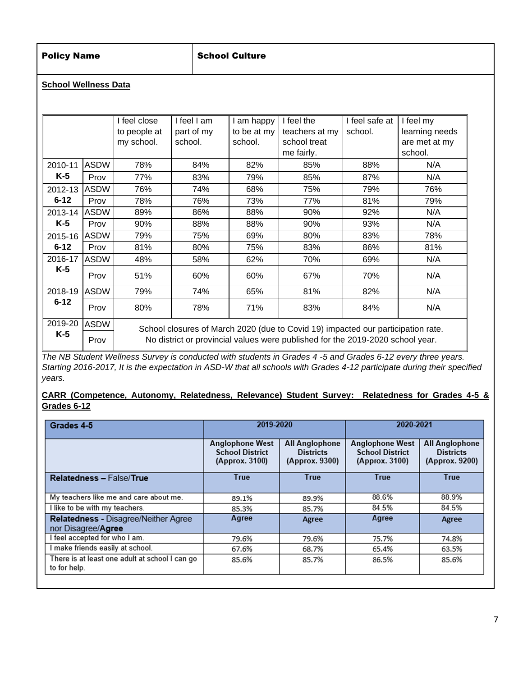# Policy Name School Culture

## **School Wellness Data**

|          |             | I feel close | I feel I am | I am happy  | I feel the                                                                       | I feel safe at | I feel my      |
|----------|-------------|--------------|-------------|-------------|----------------------------------------------------------------------------------|----------------|----------------|
|          |             | to people at | part of my  | to be at my | teachers at my                                                                   | school.        | learning needs |
|          |             | my school.   | school.     | school.     | school treat                                                                     |                | are met at my  |
|          |             |              |             |             | me fairly.                                                                       |                | school.        |
| 2010-11  | <b>ASDW</b> | 78%          | 84%         | 82%         | 85%                                                                              | 88%            | N/A            |
| $K-5$    | Prov        | 77%          | 83%         | 79%         | 85%                                                                              | 87%            | N/A            |
| 2012-13  | <b>ASDW</b> | 76%          | 74%         | 68%         | 75%                                                                              | 79%            | 76%            |
| $6 - 12$ | Prov        | 78%          | 76%         | 73%         | 77%                                                                              | 81%            | 79%            |
| 2013-14  | ASDW        | 89%          | 86%         | 88%         | 90%                                                                              | 92%            | N/A            |
| $K-5$    | Prov        | 90%          | 88%         | 88%         | 90%                                                                              | 93%            | N/A            |
| 2015-16  | ASDW        | 79%          | 75%         | 69%         | 80%                                                                              | 83%            | 78%            |
| $6 - 12$ | Prov        | 81%          | 80%         | 75%         | 83%                                                                              | 86%            | 81%            |
| 2016-17  | <b>ASDW</b> | 48%          | 58%         | 62%         | 70%                                                                              | 69%            | N/A            |
| K-5      | Prov        | 51%          | 60%         | 60%         | 67%                                                                              | 70%            | N/A            |
| 2018-19  | <b>ASDW</b> | 79%          | 74%         | 65%         | 81%                                                                              | 82%            | N/A            |
| $6 - 12$ | Prov        | 80%          | 78%         | 71%         | 83%                                                                              | 84%            | N/A            |
| 2019-20  | <b>ASDW</b> |              |             |             | School closures of March 2020 (due to Covid 19) impacted our participation rate. |                |                |
| $K-5$    | Prov        |              |             |             | No district or provincial values were published for the 2019-2020 school year.   |                |                |

*The NB Student Wellness Survey is conducted with students in Grades 4 -5 and Grades 6-12 every three years. Starting 2016-2017, It is the expectation in ASD-W that all schools with Grades 4-12 participate during their specified years.* 

**CARR (Competence, Autonomy, Relatedness, Relevance) Student Survey: Relatedness for Grades 4-5 & Grades 6-12**

| Grades 4-5                                                     | 2019-2020                                                          |                                                             | 2020-2021                                                          |                                                                            |  |
|----------------------------------------------------------------|--------------------------------------------------------------------|-------------------------------------------------------------|--------------------------------------------------------------------|----------------------------------------------------------------------------|--|
|                                                                | <b>Anglophone West</b><br><b>School District</b><br>(Approx. 3100) | <b>All Anglophone</b><br><b>Districts</b><br>(Approx. 9300) | <b>Anglophone West</b><br><b>School District</b><br>(Approx. 3100) | <b>All Anglophone</b><br><b>Districts</b><br>(Approx. 9200)<br><b>True</b> |  |
| Relatedness - False/True                                       | <b>True</b>                                                        | <b>True</b>                                                 | <b>True</b>                                                        |                                                                            |  |
| My teachers like me and care about me.                         | 89.1%                                                              | 89.9%                                                       | 88.6%                                                              | 88.9%                                                                      |  |
| I like to be with my teachers.                                 | 85.3%                                                              | 85.7%                                                       | 84.5%                                                              | 84.5%                                                                      |  |
| Relatedness - Disagree/Neither Agree<br>nor Disagree/Agree     | Agree                                                              | Agree                                                       | Agree                                                              | Agree                                                                      |  |
| I feel accepted for who I am.                                  | 79.6%                                                              | 79.6%                                                       | 75.7%                                                              | 74.8%                                                                      |  |
| I make friends easily at school.                               | 67.6%                                                              | 68.7%                                                       | 65.4%                                                              | 63.5%                                                                      |  |
| There is at least one adult at school I can go<br>to for help. | 85.6%                                                              | 85.7%                                                       | 86.5%                                                              | 85.6%                                                                      |  |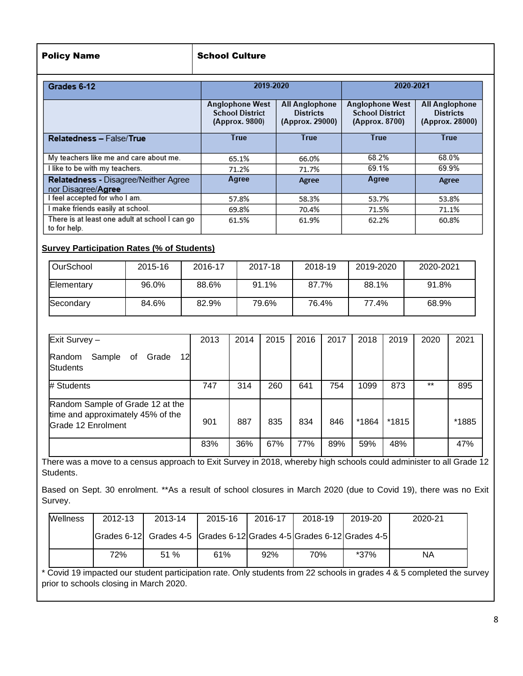| <b>Policy Name</b> | <b>School Culture</b> |
|--------------------|-----------------------|
|--------------------|-----------------------|

| Grades 6-12                                                    | 2019-2020                                                          |                                                              | 2020-2021                                                          |                                                              |  |
|----------------------------------------------------------------|--------------------------------------------------------------------|--------------------------------------------------------------|--------------------------------------------------------------------|--------------------------------------------------------------|--|
|                                                                | <b>Anglophone West</b><br><b>School District</b><br>(Approx. 9800) | <b>All Anglophone</b><br><b>Districts</b><br>(Approx. 29000) | <b>Anglophone West</b><br><b>School District</b><br>(Approx. 8700) | <b>All Anglophone</b><br><b>Districts</b><br>(Approx. 28000) |  |
| <b>Relatedness - False/True</b>                                | True                                                               | <b>True</b>                                                  | <b>True</b>                                                        | <b>True</b>                                                  |  |
| My teachers like me and care about me.                         | 65.1%                                                              | 66.0%                                                        | 68.2%                                                              | 68.0%                                                        |  |
| I like to be with my teachers.                                 | 71.2%                                                              | 71.7%                                                        | 69.1%                                                              | 69.9%                                                        |  |
| Relatedness - Disagree/Neither Agree<br>nor Disagree/Agree     | Agree                                                              | Agree                                                        | Agree                                                              | Agree                                                        |  |
| I feel accepted for who I am.                                  | 57.8%                                                              | 58.3%                                                        | 53.7%                                                              | 53.8%                                                        |  |
| I make friends easily at school.                               | 69.8%                                                              | 70.4%                                                        | 71.5%                                                              | 71.1%                                                        |  |
| There is at least one adult at school I can go<br>to for help. | 61.5%                                                              | 61.9%                                                        | 62.2%                                                              | 60.8%                                                        |  |

## **Survey Participation Rates (% of Students)**

| OurSchool  | 2015-16 | 2016-17 | 2017-18 | 2018-19 | 2019-2020 | 2020-2021 |
|------------|---------|---------|---------|---------|-----------|-----------|
| Elementary | 96.0%   | 88.6%   | 91.1%   | 87.7%   | 88.1%     | 91.8%     |
| Secondary  | 84.6%   | 82.9%   | 79.6%   | 76.4%   | 77.4%     | 68.9%     |

| Exit Survey -                                                                               | 2013 | 2014 | 2015 | 2016 | 2017 | 2018  | 2019  | 2020  | 2021  |
|---------------------------------------------------------------------------------------------|------|------|------|------|------|-------|-------|-------|-------|
| 12<br>Sample<br>Random<br>Grade<br>of<br><b>Students</b>                                    |      |      |      |      |      |       |       |       |       |
| # Students                                                                                  | 747  | 314  | 260  | 641  | 754  | 1099  | 873   | $***$ | 895   |
| Random Sample of Grade 12 at the<br>time and approximately 45% of the<br>Grade 12 Enrolment | 901  | 887  | 835  | 834  | 846  | *1864 | *1815 |       | *1885 |
|                                                                                             | 83%  | 36%  | 67%  | 77%  | 89%  | 59%   | 48%   |       | 47%   |

There was a move to a census approach to Exit Survey in 2018, whereby high schools could administer to all Grade 12 Students.

Based on Sept. 30 enrolment. \*\*As a result of school closures in March 2020 (due to Covid 19), there was no Exit Survey.

| <b>Wellness</b> | 2012-13 | 2013-14                                                              | 2015-16 | 2016-17 | 2018-19 | 2019-20 | 2020-21 |
|-----------------|---------|----------------------------------------------------------------------|---------|---------|---------|---------|---------|
|                 |         | Grades 6-12 Grades 4-5 Grades 6-12 Grades 4-5 Grades 6-12 Grades 4-5 |         |         |         |         |         |
|                 | 72%     | 51%                                                                  | 61%     | 92%     | 70%     | *37%    | ΝA      |

\* Covid 19 impacted our student participation rate. Only students from 22 schools in grades 4 & 5 completed the survey prior to schools closing in March 2020.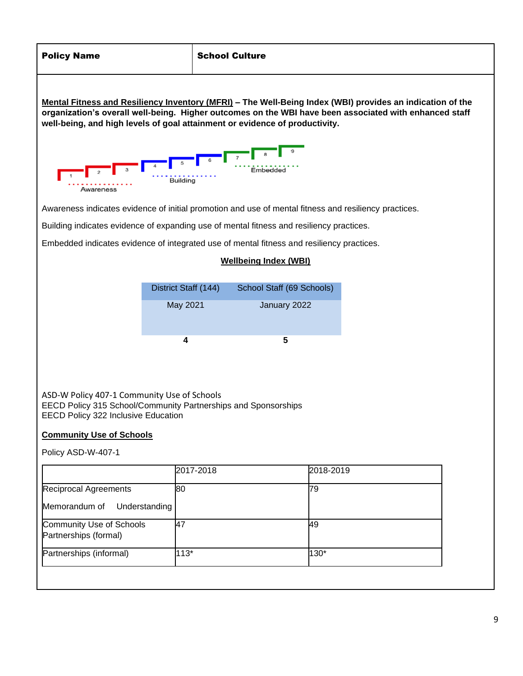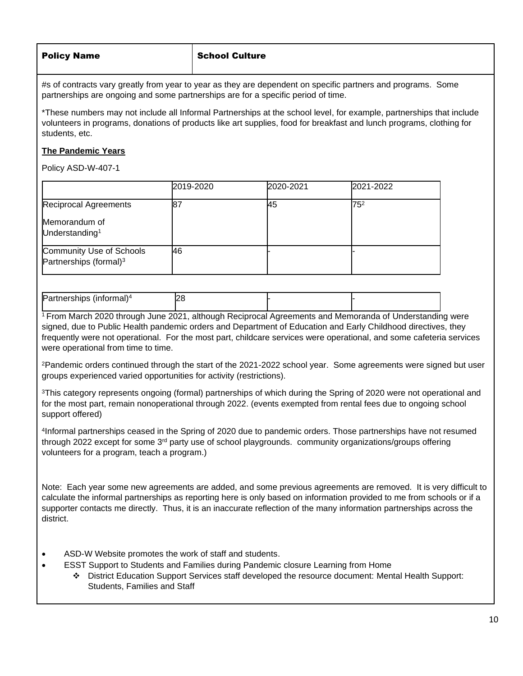## **School Culture**

#s of contracts vary greatly from year to year as they are dependent on specific partners and programs. Some partnerships are ongoing and some partnerships are for a specific period of time.

\*These numbers may not include all Informal Partnerships at the school level, for example, partnerships that include volunteers in programs, donations of products like art supplies, food for breakfast and lunch programs, clothing for students, etc.

## **The Pandemic Years**

Policy ASD-W-407-1

|                                                                | 2019-2020 | 2020-2021 | 2021-2022 |
|----------------------------------------------------------------|-----------|-----------|-----------|
| <b>Reciprocal Agreements</b>                                   | 87        | 45        | $75^2$    |
| Memorandum of<br>Understanding <sup>1</sup>                    |           |           |           |
| Community Use of Schools<br>Partnerships (formal) <sup>3</sup> | 46        |           |           |

| <b>IPar</b><br>$\cdots$<br>.<br>.<br>,,,,,,,<br>пан<br>' וו<br>н. | ., |  |  |
|-------------------------------------------------------------------|----|--|--|
|                                                                   |    |  |  |

<sup>1</sup> From March 2020 through June 2021, although Reciprocal Agreements and Memoranda of Understanding were signed, due to Public Health pandemic orders and Department of Education and Early Childhood directives, they frequently were not operational. For the most part, childcare services were operational, and some cafeteria services were operational from time to time.

<sup>2</sup>Pandemic orders continued through the start of the 2021-2022 school year. Some agreements were signed but user groups experienced varied opportunities for activity (restrictions).

<sup>3</sup>This category represents ongoing (formal) partnerships of which during the Spring of 2020 were not operational and for the most part, remain nonoperational through 2022. (events exempted from rental fees due to ongoing school support offered)

4 Informal partnerships ceased in the Spring of 2020 due to pandemic orders. Those partnerships have not resumed through 2022 except for some  $3<sup>rd</sup>$  party use of school playgrounds. community organizations/groups offering volunteers for a program, teach a program.)

Note: Each year some new agreements are added, and some previous agreements are removed. It is very difficult to calculate the informal partnerships as reporting here is only based on information provided to me from schools or if a supporter contacts me directly. Thus, it is an inaccurate reflection of the many information partnerships across the district.

- [ASD-W Website promotes the work of staff and students.](http://web1.nbed.nb.ca/sites/ASD-W/Pages/default.aspx)
- ESST Support to Students and Families during Pandemic closure Learning from Home
	- ❖ District Education Support Services staff developed the resource document: [Mental Health Support:](http://web1.nbed.nb.ca/sites/ASD-W/coronavirus/Wellness%20Documents/Mental%20Health%20Supports%20for%20Students%20Families%20and%20Staff.pdf)  [Students, Families and Staff](http://web1.nbed.nb.ca/sites/ASD-W/coronavirus/Wellness%20Documents/Mental%20Health%20Supports%20for%20Students%20Families%20and%20Staff.pdf)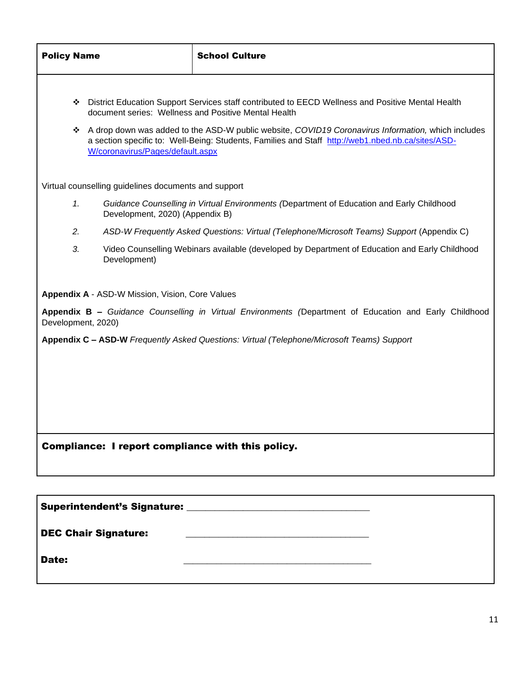| <b>Policy Name</b>                                |                                                      | <b>School Culture</b>                                                                                                                                                                                   |  |  |  |  |  |
|---------------------------------------------------|------------------------------------------------------|---------------------------------------------------------------------------------------------------------------------------------------------------------------------------------------------------------|--|--|--|--|--|
|                                                   | document series: Wellness and Positive Mental Health | District Education Support Services staff contributed to EECD Wellness and Positive Mental Health                                                                                                       |  |  |  |  |  |
| ❖                                                 | W/coronavirus/Pages/default.aspx                     | A drop down was added to the ASD-W public website, COVID19 Coronavirus Information, which includes<br>a section specific to: Well-Being: Students, Families and Staff http://web1.nbed.nb.ca/sites/ASD- |  |  |  |  |  |
|                                                   | Virtual counselling guidelines documents and support |                                                                                                                                                                                                         |  |  |  |  |  |
| 1.                                                | Development, 2020) (Appendix B)                      | Guidance Counselling in Virtual Environments (Department of Education and Early Childhood                                                                                                               |  |  |  |  |  |
| 2.                                                |                                                      | ASD-W Frequently Asked Questions: Virtual (Telephone/Microsoft Teams) Support (Appendix C)                                                                                                              |  |  |  |  |  |
| 3.                                                | Development)                                         | Video Counselling Webinars available (developed by Department of Education and Early Childhood                                                                                                          |  |  |  |  |  |
|                                                   | Appendix A - ASD-W Mission, Vision, Core Values      |                                                                                                                                                                                                         |  |  |  |  |  |
| Development, 2020)                                |                                                      | Appendix B - Guidance Counselling in Virtual Environments (Department of Education and Early Childhood                                                                                                  |  |  |  |  |  |
|                                                   |                                                      | Appendix C - ASD-W Frequently Asked Questions: Virtual (Telephone/Microsoft Teams) Support                                                                                                              |  |  |  |  |  |
|                                                   |                                                      |                                                                                                                                                                                                         |  |  |  |  |  |
|                                                   |                                                      |                                                                                                                                                                                                         |  |  |  |  |  |
|                                                   |                                                      |                                                                                                                                                                                                         |  |  |  |  |  |
| Compliance: I report compliance with this policy. |                                                      |                                                                                                                                                                                                         |  |  |  |  |  |
|                                                   |                                                      |                                                                                                                                                                                                         |  |  |  |  |  |
|                                                   |                                                      |                                                                                                                                                                                                         |  |  |  |  |  |

| <b>Superintendent's Signature:</b> | <u> 1989 - Jan Sterling von de Sterling von de Sterling von de Sterling von de Sterling von de Sterling von de S</u> |  |
|------------------------------------|----------------------------------------------------------------------------------------------------------------------|--|
| <b>DEC Chair Signature:</b>        |                                                                                                                      |  |
| Date:                              |                                                                                                                      |  |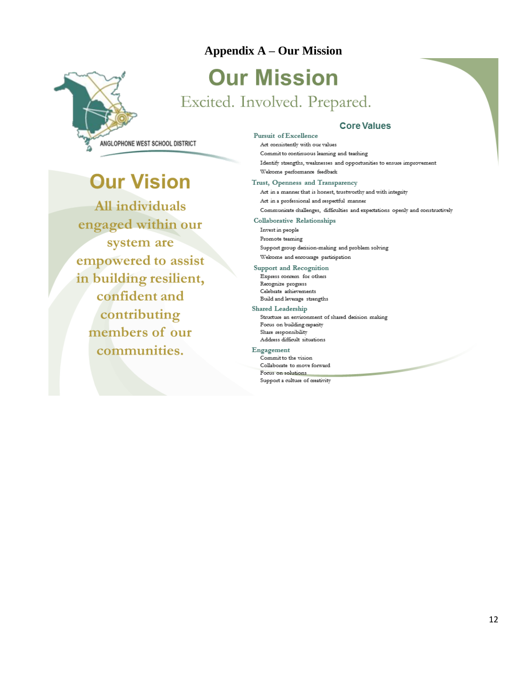# **Appendix A – Our MissionOur Mission** Excited. Involved. Prepared.

# **Core Values**

ANGLOPHONE WEST SCHOOL DISTRICT

# **Our Vision**

All individuals engaged within our system are empowered to assist in building resilient, confident and contributing members of our communities.

Pursuit of Excellence Act consistently with our values Commit to continuous learning and teaching Identify strengths, weaknesses and opportunities to ensure improvement Welcome performance feedback

Trust, Openness and Transparency Act in a manner that is honest, trustworthy and with integrity Act in a professional and respectful manner Communicate challenges, difficulties and expectations openly and constructively

### Collaborative Relationships

Invest in people Promote teaming Support group decision-making and problem solving Welcome and encourage participation

Support and Recognition Express concern for others Recognize progress Celebrate achievements Build and leverage strengths

**Shared Leadership** Structure an environment of shared decision making Focus on building capacity Share responsibility Address difficult situations

### Engagement

Commit to the vision Collaborate to move forward Focus on solutions Support a culture of creativity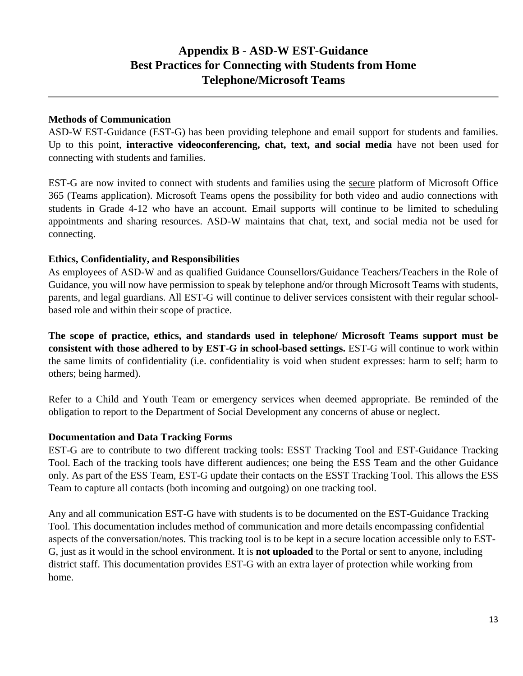# **Appendix B - ASD-W EST-Guidance Best Practices for Connecting with Students from Home Telephone/Microsoft Teams**

# **Methods of Communication**

ASD-W EST-Guidance (EST-G) has been providing telephone and email support for students and families. Up to this point, **interactive videoconferencing, chat, text, and social media** have not been used for connecting with students and families.

EST-G are now invited to connect with students and families using the secure platform of Microsoft Office 365 (Teams application). Microsoft Teams opens the possibility for both video and audio connections with students in Grade 4-12 who have an account. Email supports will continue to be limited to scheduling appointments and sharing resources. ASD-W maintains that chat, text, and social media not be used for connecting.

## **Ethics, Confidentiality, and Responsibilities**

As employees of ASD-W and as qualified Guidance Counsellors/Guidance Teachers/Teachers in the Role of Guidance, you will now have permission to speak by telephone and/or through Microsoft Teams with students, parents, and legal guardians. All EST-G will continue to deliver services consistent with their regular schoolbased role and within their scope of practice.

**The scope of practice, ethics, and standards used in telephone/ Microsoft Teams support must be consistent with those adhered to by EST-G in school-based settings.** EST-G will continue to work within the same limits of confidentiality (i.e. confidentiality is void when student expresses: harm to self; harm to others; being harmed).

Refer to a Child and Youth Team or emergency services when deemed appropriate. Be reminded of the obligation to report to the Department of Social Development any concerns of abuse or neglect.

## **Documentation and Data Tracking Forms**

EST-G are to contribute to two different tracking tools: ESST Tracking Tool and EST-Guidance Tracking Tool. Each of the tracking tools have different audiences; one being the ESS Team and the other Guidance only. As part of the ESS Team, EST-G update their contacts on the ESST Tracking Tool. This allows the ESS Team to capture all contacts (both incoming and outgoing) on one tracking tool.

Any and all communication EST-G have with students is to be documented on the EST-Guidance Tracking Tool. This documentation includes method of communication and more details encompassing confidential aspects of the conversation/notes. This tracking tool is to be kept in a secure location accessible only to EST-G, just as it would in the school environment. It is **not uploaded** to the Portal or sent to anyone, including district staff. This documentation provides EST-G with an extra layer of protection while working from home.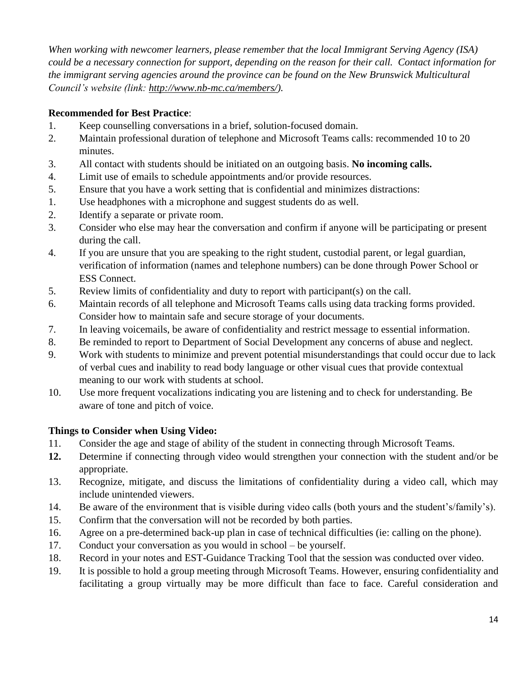*When working with newcomer learners, please remember that the local Immigrant Serving Agency (ISA) could be a necessary connection for support, depending on the reason for their call. Contact information for the immigrant serving agencies around the province can be found on the New Brunswick Multicultural Council's website (link: [http://www.nb-mc.ca/members/\)](http://www.nb-mc.ca/members/).*

# **Recommended for Best Practice**:

- 1. Keep counselling conversations in a brief, solution-focused domain.
- 2. Maintain professional duration of telephone and Microsoft Teams calls: recommended 10 to 20 minutes.
- 3. All contact with students should be initiated on an outgoing basis. **No incoming calls.**
- 4. Limit use of emails to schedule appointments and/or provide resources.
- 5. Ensure that you have a work setting that is confidential and minimizes distractions:
- 1. Use headphones with a microphone and suggest students do as well.
- 2. Identify a separate or private room.
- 3. Consider who else may hear the conversation and confirm if anyone will be participating or present during the call.
- 4. If you are unsure that you are speaking to the right student, custodial parent, or legal guardian, verification of information (names and telephone numbers) can be done through Power School or ESS Connect.
- 5. Review limits of confidentiality and duty to report with participant(s) on the call.
- 6. Maintain records of all telephone and Microsoft Teams calls using data tracking forms provided. Consider how to maintain safe and secure storage of your documents.
- 7. In leaving voicemails, be aware of confidentiality and restrict message to essential information.
- 8. Be reminded to report to Department of Social Development any concerns of abuse and neglect.
- 9. Work with students to minimize and prevent potential misunderstandings that could occur due to lack of verbal cues and inability to read body language or other visual cues that provide contextual meaning to our work with students at school.
- 10. Use more frequent vocalizations indicating you are listening and to check for understanding. Be aware of tone and pitch of voice.

# **Things to Consider when Using Video:**

- 11. Consider the age and stage of ability of the student in connecting through Microsoft Teams.
- **12.** Determine if connecting through video would strengthen your connection with the student and/or be appropriate.
- 13. Recognize, mitigate, and discuss the limitations of confidentiality during a video call, which may include unintended viewers.
- 14. Be aware of the environment that is visible during video calls (both yours and the student's/family's).
- 15. Confirm that the conversation will not be recorded by both parties.
- 16. Agree on a pre-determined back-up plan in case of technical difficulties (ie: calling on the phone).
- 17. Conduct your conversation as you would in school be yourself.
- 18. Record in your notes and EST-Guidance Tracking Tool that the session was conducted over video.
- 19. It is possible to hold a group meeting through Microsoft Teams. However, ensuring confidentiality and facilitating a group virtually may be more difficult than face to face. Careful consideration and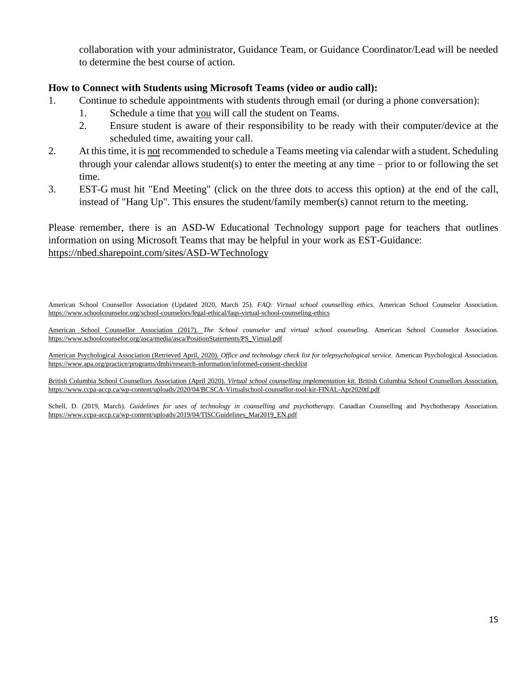collaboration with your administrator, Guidance Team, or Guidance Coordinator/Lead will be needed to determine the best course of action.

# **How to Connect with Students using Microsoft Teams (video or audio call):**

- 1. Continue to schedule appointments with students through email (or during a phone conversation):
	- 1. Schedule a time that you will call the student on Teams.
	- 2. Ensure student is aware of their responsibility to be ready with their computer/device at the scheduled time, awaiting your call.
- 2. At this time, it is not recommended to schedule a Teams meeting via calendar with a student. Scheduling through your calendar allows student(s) to enter the meeting at any time – prior to or following the set time.
- 3. EST-G must hit "End Meeting" (click on the three dots to access this option) at the end of the call, instead of "Hang Up". This ensures the student/family member(s) cannot return to the meeting.

Please remember, there is an ASD-W Educational Technology support page for teachers that outlines information on using Microsoft Teams that may be helpful in your work as EST-Guidance: <https://nbed.sharepoint.com/sites/ASD-WTechnology>

American School Counsellor Association (Updated 2020, March 25). *FAQ: Virtual school counselling ethics.* American School Counselor Association. <https://www.schoolcounselor.org/school-counselors/legal-ethical/faqs-virtual-school-counseling-ethics>

American School Counsellor Association (2017). *The School counselor and virtual school counseling.* American School Counselor Association. [https://www.schoolcounselor.org/asca/media/asca/PositionStatements/PS\\_Virtual.pdf](https://www.schoolcounselor.org/asca/media/asca/PositionStatements/PS_Virtual.pdf)

American Psychological Association (Retrieved April, 2020). *Office and technology check list for telepsychological service.* American Psychological Association. <https://www.apa.org/practice/programs/dmhi/research-information/informed-consent-checklist>

British Columbia School Counsellors Association (April 2020). *Virtual school counselling implementation kit*. British Columbia School Counsellors Association. <https://www.ccpa-accp.ca/wp-content/uploads/2020/04/BCSCA-Virtualschool-counsellor-tool-kit-FINAL-Apr2020tf.pdf>

Schell, D. (2019, March). *Guidelines for uses of technology in counselling and psychotherapy.* Canadian Counselling and Psychotherapy Association. [https://www.ccpa-accp.ca/wp-content/uploads/2019/04/TISCGuidelines\\_Mar2019\\_EN.pdf](https://www.ccpa-accp.ca/wp-content/uploads/2019/04/TISCGuidelines_Mar2019_EN.pdf)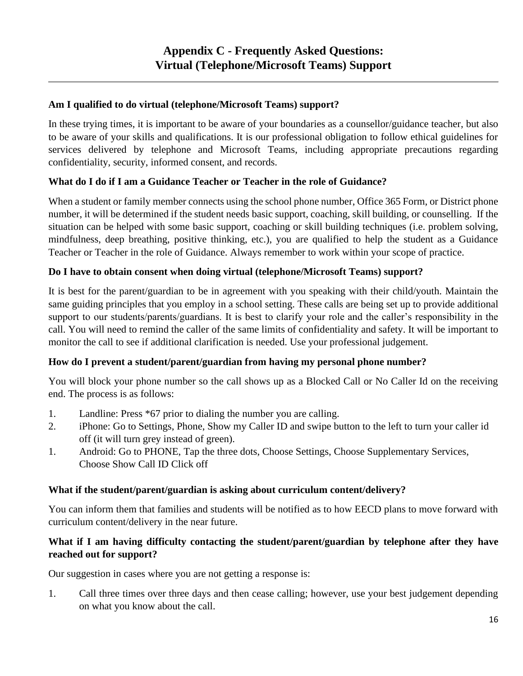# **Am I qualified to do virtual (telephone/Microsoft Teams) support?**

In these trying times, it is important to be aware of your boundaries as a counsellor/guidance teacher, but also to be aware of your skills and qualifications. It is our professional obligation to follow ethical guidelines for services delivered by telephone and Microsoft Teams, including appropriate precautions regarding confidentiality, security, informed consent, and records.

# **What do I do if I am a Guidance Teacher or Teacher in the role of Guidance?**

When a student or family member connects using the school phone number, Office 365 Form, or District phone number, it will be determined if the student needs basic support, coaching, skill building, or counselling. If the situation can be helped with some basic support, coaching or skill building techniques (i.e. problem solving, mindfulness, deep breathing, positive thinking, etc.), you are qualified to help the student as a Guidance Teacher or Teacher in the role of Guidance. Always remember to work within your scope of practice.

# **Do I have to obtain consent when doing virtual (telephone/Microsoft Teams) support?**

It is best for the parent/guardian to be in agreement with you speaking with their child/youth. Maintain the same guiding principles that you employ in a school setting. These calls are being set up to provide additional support to our students/parents/guardians. It is best to clarify your role and the caller's responsibility in the call. You will need to remind the caller of the same limits of confidentiality and safety. It will be important to monitor the call to see if additional clarification is needed. Use your professional judgement.

# **How do I prevent a student/parent/guardian from having my personal phone number?**

You will block your phone number so the call shows up as a Blocked Call or No Caller Id on the receiving end. The process is as follows:

- 1. Landline: Press \*67 prior to dialing the number you are calling.
- 2. iPhone: Go to Settings, Phone, Show my Caller ID and swipe button to the left to turn your caller id off (it will turn grey instead of green).
- 1. Android: Go to PHONE, Tap the three dots, Choose Settings, Choose Supplementary Services, Choose Show Call ID Click off

# **What if the student/parent/guardian is asking about curriculum content/delivery?**

You can inform them that families and students will be notified as to how EECD plans to move forward with curriculum content/delivery in the near future.

# **What if I am having difficulty contacting the student/parent/guardian by telephone after they have reached out for support?**

Our suggestion in cases where you are not getting a response is:

1. Call three times over three days and then cease calling; however, use your best judgement depending on what you know about the call.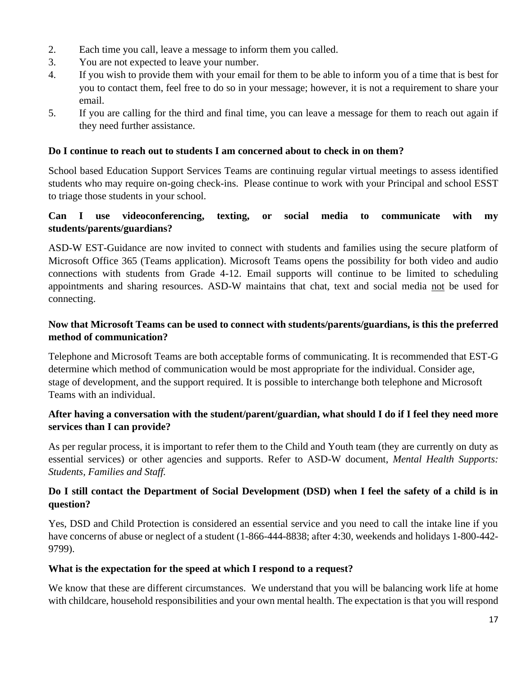- 2. Each time you call, leave a message to inform them you called.
- 3. You are not expected to leave your number.
- 4. If you wish to provide them with your email for them to be able to inform you of a time that is best for you to contact them, feel free to do so in your message; however, it is not a requirement to share your email.
- 5. If you are calling for the third and final time, you can leave a message for them to reach out again if they need further assistance.

## **Do I continue to reach out to students I am concerned about to check in on them?**

School based Education Support Services Teams are continuing regular virtual meetings to assess identified students who may require on-going check-ins. Please continue to work with your Principal and school ESST to triage those students in your school.

# **Can I use videoconferencing, texting, or social media to communicate with my students/parents/guardians?**

ASD-W EST-Guidance are now invited to connect with students and families using the secure platform of Microsoft Office 365 (Teams application). Microsoft Teams opens the possibility for both video and audio connections with students from Grade 4-12. Email supports will continue to be limited to scheduling appointments and sharing resources. ASD-W maintains that chat, text and social media not be used for connecting.

# **Now that Microsoft Teams can be used to connect with students/parents/guardians, is this the preferred method of communication?**

Telephone and Microsoft Teams are both acceptable forms of communicating. It is recommended that EST-G determine which method of communication would be most appropriate for the individual. Consider age, stage of development, and the support required. It is possible to interchange both telephone and Microsoft Teams with an individual.

# **After having a conversation with the student/parent/guardian, what should I do if I feel they need more services than I can provide?**

As per regular process, it is important to refer them to the Child and Youth team (they are currently on duty as essential services) or other agencies and supports. Refer to ASD-W document, *Mental Health Supports: Students, Families and Staff.*

# **Do I still contact the Department of Social Development (DSD) when I feel the safety of a child is in question?**

Yes, DSD and Child Protection is considered an essential service and you need to call the intake line if you have concerns of abuse or neglect of a student (1-866-444-8838; after 4:30, weekends and holidays 1-800-442-9799).

# **What is the expectation for the speed at which I respond to a request?**

We know that these are different circumstances. We understand that you will be balancing work life at home with childcare, household responsibilities and your own mental health. The expectation is that you will respond